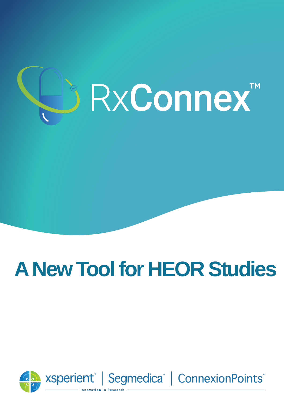

# **A New Tool for HEOR Studies**

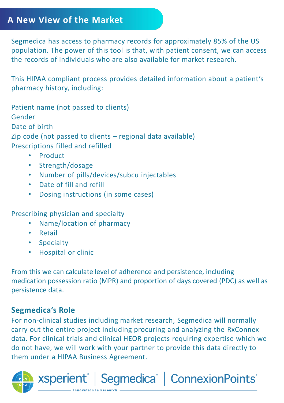#### **A New View of the Market**

Segmedica has access to pharmacy records for approximately 85% of the US population. The power of this tool is that, with patient consent, we can access the records of individuals who are also available for market research.

This HIPAA compliant process provides detailed information about a patient's pharmacy history, including:

Patient name (not passed to clients) Gender Date of birth Zip code (not passed to clients – regional data available) Prescriptions filled and refilled

- Product
- Strength/dosage
- Number of pills/devices/subcu injectables
- Date of fill and refill
- Dosing instructions (in some cases)

Prescribing physician and specialty

- Name/location of pharmacy
- Retail
- Specialty
- Hospital or clinic

xsperient®

From this we can calculate level of adherence and persistence, including medication possession ratio (MPR) and proportion of days covered (PDC) as well as persistence data.

#### **Segmedica's Role**

For non-clinical studies including market research, Segmedica will normally carry out the entire project including procuring and analyzing the RxConnex data. For clinical trials and clinical HEOR projects requiring expertise which we do not have, we will work with your partner to provide this data directly to them under a HIPAA Business Agreement.

Segmedica<sup>®</sup> | ConnexionPoints<sup>®</sup>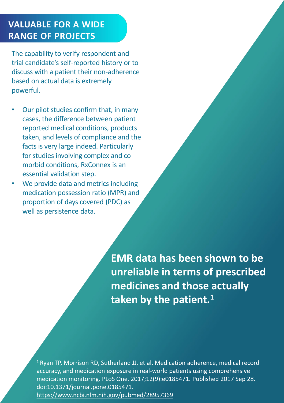### **VALUABLE FOR A WIDE RANGE OF PROJECTS**

The capability to verify respondent and trial candidate's self-reported history or to discuss with a patient their non-adherence based on actual data is extremely powerful.

- Our pilot studies confirm that, in many cases, the difference between patient reported medical conditions, products taken, and levels of compliance and the facts is very large indeed. Particularly for studies involving complex and comorbid conditions, RxConnex is an essential validation step.
- We provide data and metrics including medication possession ratio (MPR) and proportion of days covered (PDC) as well as persistence data.

**EMR data has been shown to be unreliable in terms of prescribed medicines and those actually taken by the patient. 1**

 $1$ Ryan TP, Morrison RD, Sutherland JJ, et al. Medication adherence, medical record accuracy, and medication exposure in real-world patients using comprehensive medication monitoring. PLoS One. 2017;12(9):e0185471. Published 2017 Sep 28. doi:10.1371/journal.pone.0185471. <https://www.ncbi.nlm.nih.gov/pubmed/28957369>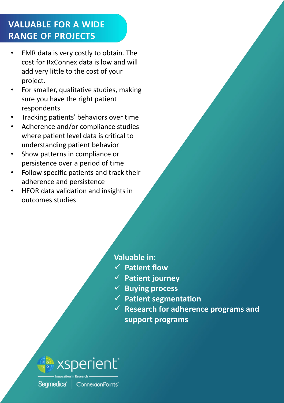## **VALUABLE FOR A WIDE RANGE OF PROJECTS**

- EMR data is very costly to obtain. The cost for RxConnex data is low and will add very little to the cost of your project.
- For smaller, qualitative studies, making sure you have the right patient respondents
- Tracking patients' behaviors over time
- Adherence and/or compliance studies where patient level data is critical to understanding patient behavior
- Show patterns in compliance or persistence over a period of time
- Follow specific patients and track their adherence and persistence
- HEOR data validation and insights in outcomes studies

#### **Valuable in:**

- ✓ **Patient flow**
- ✓ **Patient journey**
- ✓ **Buying process**
- ✓ **Patient segmentation**
- ✓ **Research for adherence programs and support programs**